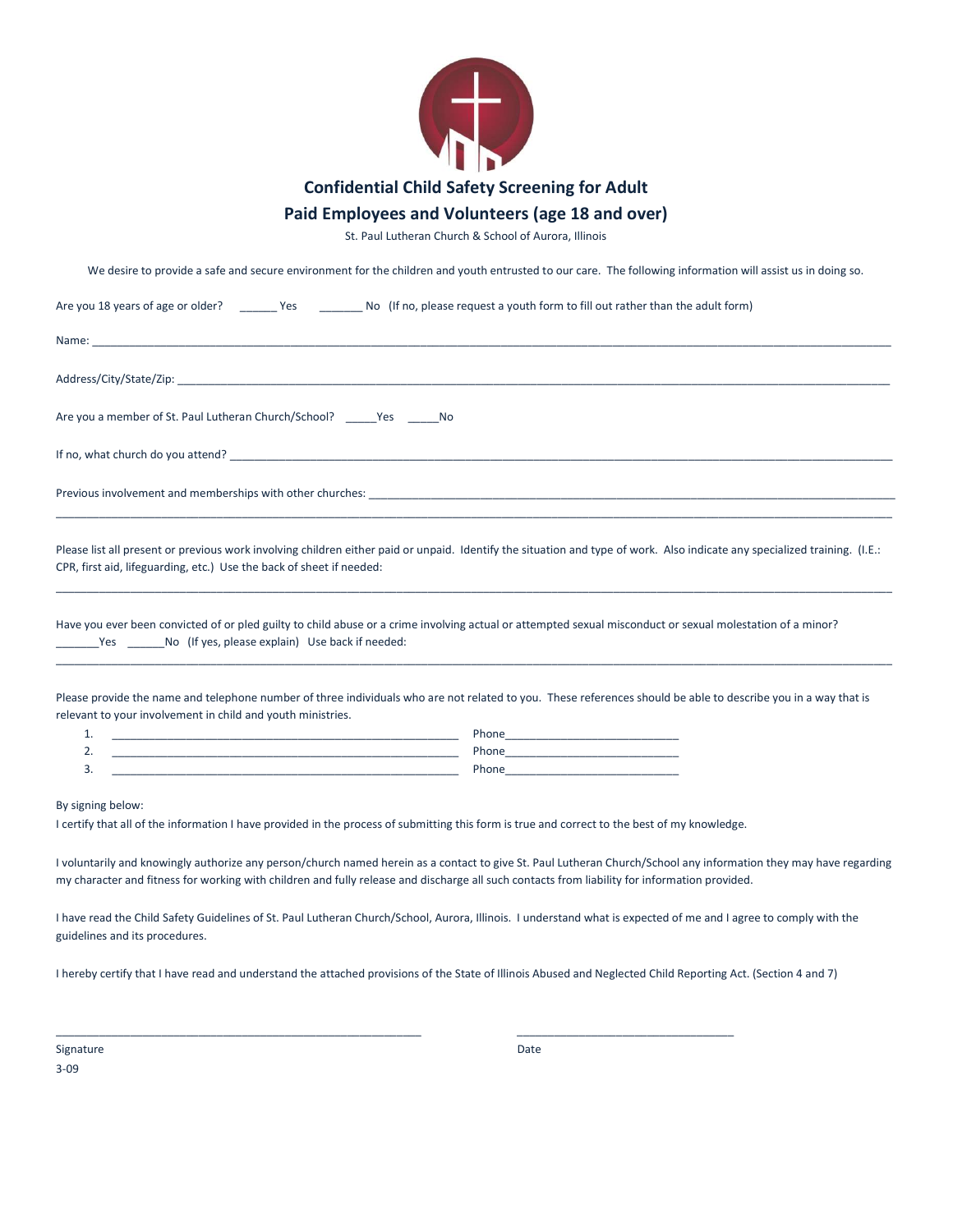

## Paid Employees and Volunteers (age 18 and over)

St. Paul Lutheran Church & School of Aurora, Illinois

We desire to provide a safe and secure environment for the children and youth entrusted to our care. The following information will assist us in doing so.

| Are you 18 years of age or older? _________ Yes ___________ No (If no, please request a youth form to fill out rather than the adult form)                                                                                                                                                                         |                                                                                                                                                                                                                               |
|--------------------------------------------------------------------------------------------------------------------------------------------------------------------------------------------------------------------------------------------------------------------------------------------------------------------|-------------------------------------------------------------------------------------------------------------------------------------------------------------------------------------------------------------------------------|
| Name:                                                                                                                                                                                                                                                                                                              |                                                                                                                                                                                                                               |
|                                                                                                                                                                                                                                                                                                                    |                                                                                                                                                                                                                               |
| Are you a member of St. Paul Lutheran Church/School? ______ Yes ______ No                                                                                                                                                                                                                                          |                                                                                                                                                                                                                               |
|                                                                                                                                                                                                                                                                                                                    |                                                                                                                                                                                                                               |
|                                                                                                                                                                                                                                                                                                                    |                                                                                                                                                                                                                               |
| Please list all present or previous work involving children either paid or unpaid. Identify the situation and type of work. Also indicate any specialized training. (I.E.:<br>CPR, first aid, lifeguarding, etc.) Use the back of sheet if needed:                                                                 |                                                                                                                                                                                                                               |
| Have you ever been convicted of or pled guilty to child abuse or a crime involving actual or attempted sexual misconduct or sexual molestation of a minor?<br>Yes No (If yes, please explain) Use back if needed:                                                                                                  |                                                                                                                                                                                                                               |
| Please provide the name and telephone number of three individuals who are not related to you. These references should be able to describe you in a way that is<br>relevant to your involvement in child and youth ministries.                                                                                      |                                                                                                                                                                                                                               |
| <u> 1989 - Johann Harry Harry Harry Harry Harry Harry Harry Harry Harry Harry Harry Harry Harry Harry Harry Harry</u><br>1.                                                                                                                                                                                        |                                                                                                                                                                                                                               |
| 2.                                                                                                                                                                                                                                                                                                                 |                                                                                                                                                                                                                               |
| 3.                                                                                                                                                                                                                                                                                                                 | Phone and the contract of the contract of the contract of the contract of the contract of the contract of the contract of the contract of the contract of the contract of the contract of the contract of the contract of the |
| By signing below:<br>I certify that all of the information I have provided in the process of submitting this form is true and correct to the best of my knowledge.                                                                                                                                                 |                                                                                                                                                                                                                               |
| I voluntarily and knowingly authorize any person/church named herein as a contact to give St. Paul Lutheran Church/School any information they may have regarding<br>my character and fitness for working with children and fully release and discharge all such contacts from liability for information provided. |                                                                                                                                                                                                                               |
| I have read the Child Safety Guidelines of St. Paul Lutheran Church/School, Aurora, Illinois. I understand what is expected of me and I agree to comply with the<br>guidelines and its procedures.                                                                                                                 |                                                                                                                                                                                                                               |

I hereby certify that I have read and understand the attached provisions of the State of Illinois Abused and Neglected Child Reporting Act. (Section 4 and 7)

\_\_\_\_\_\_\_\_\_\_\_\_\_\_\_\_\_\_\_\_\_\_\_\_\_\_\_\_\_\_\_\_\_\_\_\_\_\_\_\_\_\_\_\_\_\_\_\_\_\_\_\_\_\_\_\_\_\_\_ \_\_\_\_\_\_\_\_\_\_\_\_\_\_\_\_\_\_\_\_\_\_\_\_\_\_\_\_\_\_\_\_\_\_\_

Signature Date 3-09